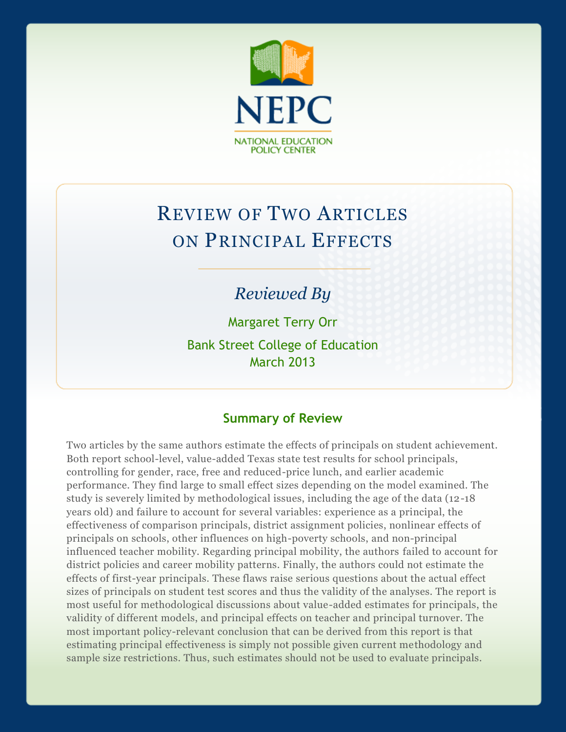

# REVIEW OF TWO ARTICLES ON PRINCIPAL EFFECTS

## *Reviewed By*

Margaret Terry Orr Bank Street College of Education March 2013

## **Summary of Review**

Two articles by the same authors estimate the effects of principals on student achievement. Both report school-level, value-added Texas state test results for school principals, controlling for gender, race, free and reduced-price lunch, and earlier academic performance. They find large to small effect sizes depending on the model examined. The study is severely limited by methodological issues, including the age of the data (12-18 years old) and failure to account for several variables: experience as a principal, the effectiveness of comparison principals, district assignment policies, nonlinear effects of principals on schools, other influences on high-poverty schools, and non-principal influenced teacher mobility. Regarding principal mobility, the authors failed to account for district policies and career mobility patterns. Finally, the authors could not estimate the effects of first-year principals. These flaws raise serious questions about the actual effect sizes of principals on student test scores and thus the validity of the analyses. The report is most useful for methodological discussions about value-added estimates for principals, the validity of different models, and principal effects on teacher and principal turnover. The most important policy-relevant conclusion that can be derived from this report is that estimating principal effectiveness is simply not possible given current methodology and sample size restrictions. Thus, such estimates should not be used to evaluate principals.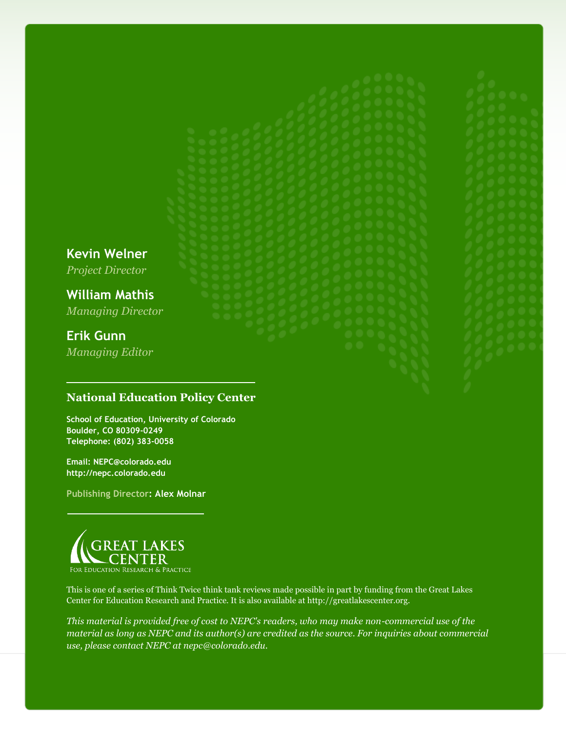**Kevin Welner**

*Project Director*

**William Mathis** *Managing Director*

## **Erik Gunn**

*Managing Editor*

## **National Education Policy Center**

**School of Education, University of Colorado Boulder, CO 80309-0249 Telephone: (802) 383-0058**

**Email: NEPC@colorado.edu http://nepc.colorado.edu**

**Publishing Director: Alex Molnar**



This is one of a series of Think Twice think tank reviews made possible in part by funding from the Great Lakes Center for Education Research and Practice. It is also available at http://greatlakescenter.org.

*This material is provided free of cost to NEPC's readers, who may make non-commercial use of the material as long as NEPC and its author(s) are credited as the source. For inquiries about commercial use, please contact NEPC at nepc@colorado.edu.*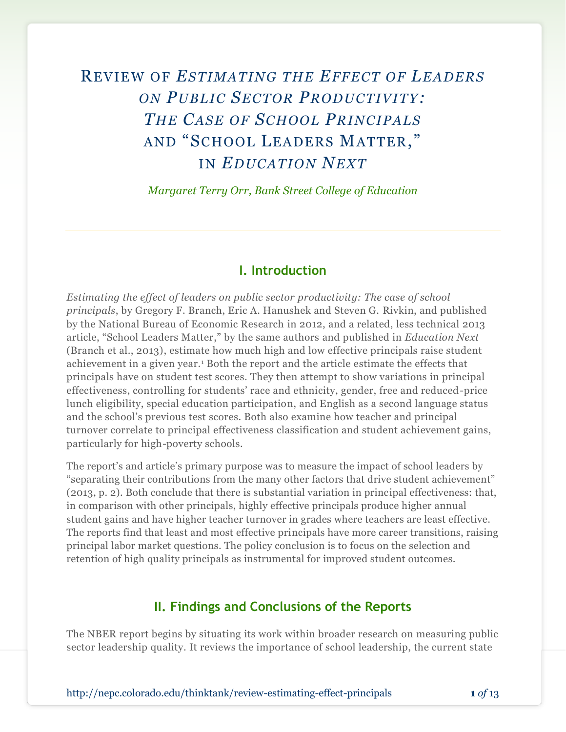## REVIEW OF *ESTIMATING THE EFFECT OF LEADERS ON PUBLIC SECTOR PRODUCTIVITY: THE CASE OF SCHOOL PRINCIPALS*  AND "SCHOOL LEADERS MATTER, " IN *EDUCATION NEXT*

*Margaret Terry Orr, Bank Street College of Education*

#### **I. Introduction**

*Estimating the effect of leaders on public sector productivity: The case of school principals*, by Gregory F. Branch, Eric A. Hanushek and Steven G. Rivkin, and published by the National Bureau of Economic Research in 2012, and a related, less technical 2013 article, "School Leaders Matter," by the same authors and published in *Education Next* (Branch et al., 2013), estimate how much high and low effective principals raise student achievement in a given year.<sup>1</sup> Both the report and the article estimate the effects that principals have on student test scores. They then attempt to show variations in principal effectiveness, controlling for students' race and ethnicity, gender, free and reduced-price lunch eligibility, special education participation, and English as a second language status and the school's previous test scores. Both also examine how teacher and principal turnover correlate to principal effectiveness classification and student achievement gains, particularly for high-poverty schools.

The report's and article's primary purpose was to measure the impact of school leaders by "separating their contributions from the many other factors that drive student achievement" (2013, p. 2). Both conclude that there is substantial variation in principal effectiveness: that, in comparison with other principals, highly effective principals produce higher annual student gains and have higher teacher turnover in grades where teachers are least effective. The reports find that least and most effective principals have more career transitions, raising principal labor market questions. The policy conclusion is to focus on the selection and retention of high quality principals as instrumental for improved student outcomes.

#### **II. Findings and Conclusions of the Reports**

The NBER report begins by situating its work within broader research on measuring public sector leadership quality. It reviews the importance of school leadership, the current state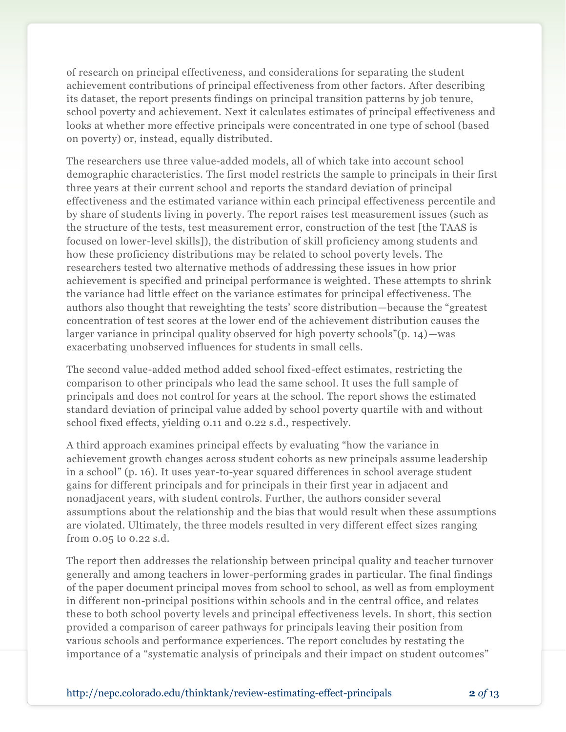of research on principal effectiveness, and considerations for separating the student achievement contributions of principal effectiveness from other factors. After describing its dataset, the report presents findings on principal transition patterns by job tenure, school poverty and achievement. Next it calculates estimates of principal effectiveness and looks at whether more effective principals were concentrated in one type of school (based on poverty) or, instead, equally distributed.

The researchers use three value-added models, all of which take into account school demographic characteristics. The first model restricts the sample to principals in their first three years at their current school and reports the standard deviation of principal effectiveness and the estimated variance within each principal effectiveness percentile and by share of students living in poverty. The report raises test measurement issues (such as the structure of the tests, test measurement error, construction of the test [the TAAS is focused on lower-level skills]), the distribution of skill proficiency among students and how these proficiency distributions may be related to school poverty levels. The researchers tested two alternative methods of addressing these issues in how prior achievement is specified and principal performance is weighted. These attempts to shrink the variance had little effect on the variance estimates for principal effectiveness. The authors also thought that reweighting the tests' score distribution—because the "greatest concentration of test scores at the lower end of the achievement distribution causes the larger variance in principal quality observed for high poverty schools"(p. 14)—was exacerbating unobserved influences for students in small cells.

The second value-added method added school fixed-effect estimates, restricting the comparison to other principals who lead the same school. It uses the full sample of principals and does not control for years at the school. The report shows the estimated standard deviation of principal value added by school poverty quartile with and without school fixed effects, yielding 0.11 and 0.22 s.d., respectively.

A third approach examines principal effects by evaluating "how the variance in achievement growth changes across student cohorts as new principals assume leadership in a school" (p. 16). It uses year-to-year squared differences in school average student gains for different principals and for principals in their first year in adjacent and nonadjacent years, with student controls. Further, the authors consider several assumptions about the relationship and the bias that would result when these assumptions are violated. Ultimately, the three models resulted in very different effect sizes ranging from 0.05 to 0.22 s.d.

The report then addresses the relationship between principal quality and teacher turnover generally and among teachers in lower-performing grades in particular. The final findings of the paper document principal moves from school to school, as well as from employment in different non-principal positions within schools and in the central office, and relates these to both school poverty levels and principal effectiveness levels. In short, this section provided a comparison of career pathways for principals leaving their position from various schools and performance experiences. The report concludes by restating the importance of a "systematic analysis of principals and their impact on student outcomes"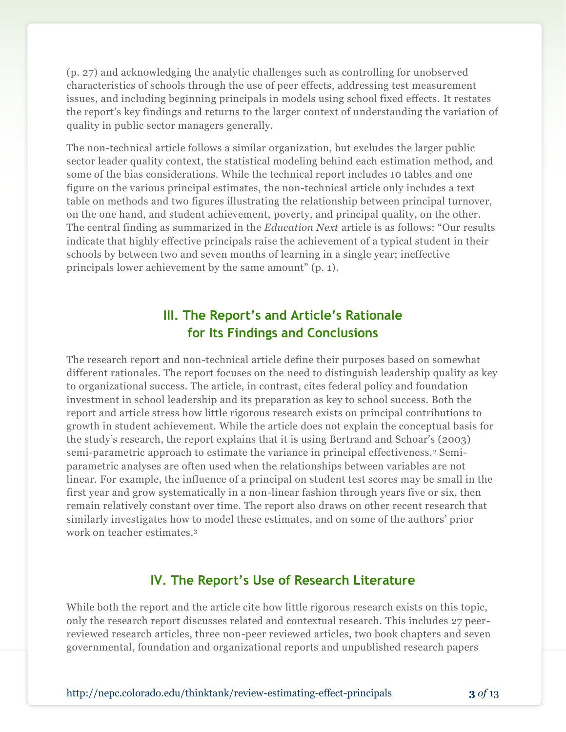(p. 27) and acknowledging the analytic challenges such as controlling for unobserved characteristics of schools through the use of peer effects, addressing test measurement issues, and including beginning principals in models using school fixed effects. It restates the report's key findings and returns to the larger context of understanding the variation of quality in public sector managers generally.

The non-technical article follows a similar organization, but excludes the larger public sector leader quality context, the statistical modeling behind each estimation method, and some of the bias considerations. While the technical report includes 10 tables and one figure on the various principal estimates, the non-technical article only includes a text table on methods and two figures illustrating the relationship between principal turnover, on the one hand, and student achievement, poverty, and principal quality, on the other. The central finding as summarized in the *Education Next* article is as follows: "Our results indicate that highly effective principals raise the achievement of a typical student in their schools by between two and seven months of learning in a single year; ineffective principals lower achievement by the same amount" (p. 1).

## **III. The Report's and Article's Rationale for Its Findings and Conclusions**

The research report and non-technical article define their purposes based on somewhat different rationales. The report focuses on the need to distinguish leadership quality as key to organizational success. The article, in contrast, cites federal policy and foundation investment in school leadership and its preparation as key to school success. Both the report and article stress how little rigorous research exists on principal contributions to growth in student achievement. While the article does not explain the conceptual basis for the study's research, the report explains that it is using Bertrand and Schoar's (2003) semi-parametric approach to estimate the variance in principal effectiveness.<sup>2</sup> Semiparametric analyses are often used when the relationships between variables are not linear. For example, the influence of a principal on student test scores may be small in the first year and grow systematically in a non-linear fashion through years five or six, then remain relatively constant over time. The report also draws on other recent research that similarly investigates how to model these estimates, and on some of the authors' prior work on teacher estimates.<sup>3</sup>

## **IV. The Report's Use of Research Literature**

While both the report and the article cite how little rigorous research exists on this topic, only the research report discusses related and contextual research. This includes 27 peerreviewed research articles, three non-peer reviewed articles, two book chapters and seven governmental, foundation and organizational reports and unpublished research papers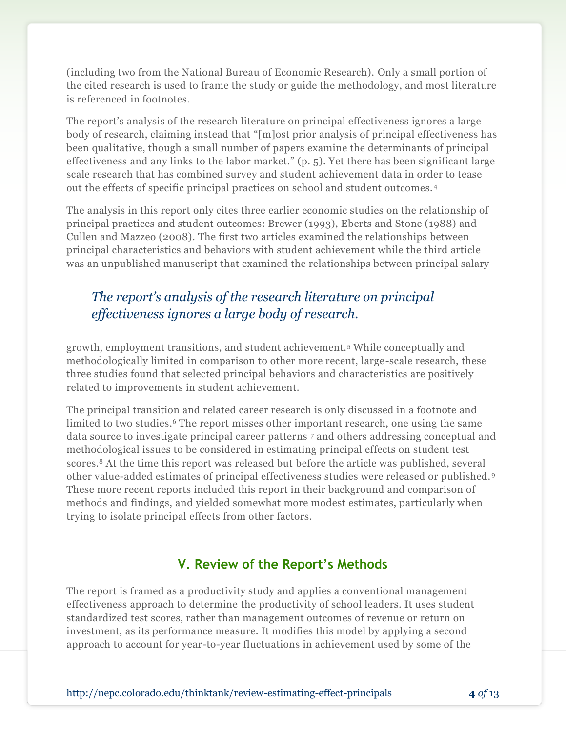(including two from the National Bureau of Economic Research). Only a small portion of the cited research is used to frame the study or guide the methodology, and most literature is referenced in footnotes.

The report's analysis of the research literature on principal effectiveness ignores a large body of research, claiming instead that "[m]ost prior analysis of principal effectiveness has been qualitative, though a small number of papers examine the determinants of principal effectiveness and any links to the labor market." (p. 5). Yet there has been significant large scale research that has combined survey and student achievement data in order to tease out the effects of specific principal practices on school and student outcomes. <sup>4</sup>

The analysis in this report only cites three earlier economic studies on the relationship of principal practices and student outcomes: Brewer (1993), Eberts and Stone (1988) and Cullen and Mazzeo (2008). The first two articles examined the relationships between principal characteristics and behaviors with student achievement while the third article was an unpublished manuscript that examined the relationships between principal salary

## *The report's analysis of the research literature on principal effectiveness ignores a large body of research.*

growth, employment transitions, and student achievement.<sup>5</sup> While conceptually and methodologically limited in comparison to other more recent, large-scale research, these three studies found that selected principal behaviors and characteristics are positively related to improvements in student achievement.

The principal transition and related career research is only discussed in a footnote and limited to two studies. <sup>6</sup> The report misses other important research, one using the same data source to investigate principal career patterns <sup>7</sup> and others addressing conceptual and methodological issues to be considered in estimating principal effects on student test scores.<sup>8</sup> At the time this report was released but before the article was published, several other value-added estimates of principal effectiveness studies were released or published. <sup>9</sup> These more recent reports included this report in their background and comparison of methods and findings, and yielded somewhat more modest estimates, particularly when trying to isolate principal effects from other factors.

## **V. Review of the Report's Methods**

The report is framed as a productivity study and applies a conventional management effectiveness approach to determine the productivity of school leaders. It uses student standardized test scores, rather than management outcomes of revenue or return on investment, as its performance measure. It modifies this model by applying a second approach to account for year-to-year fluctuations in achievement used by some of the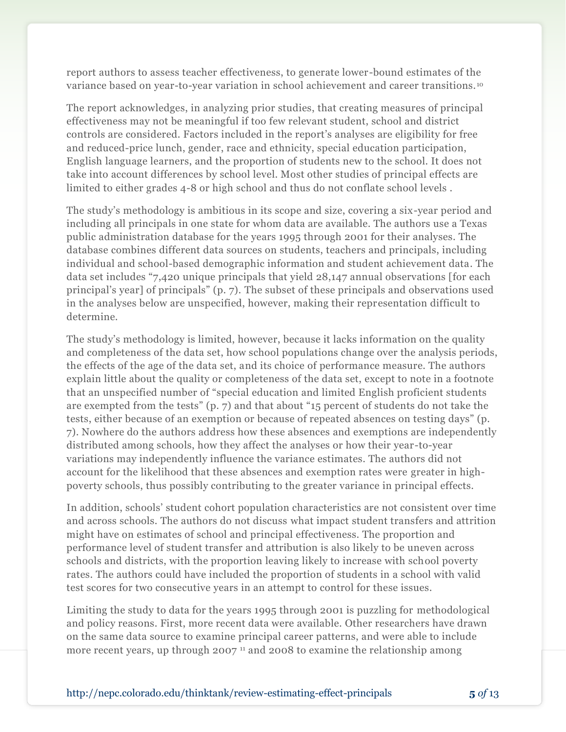report authors to assess teacher effectiveness, to generate lower-bound estimates of the variance based on year-to-year variation in school achievement and career transitions. <sup>10</sup>

The report acknowledges, in analyzing prior studies, that creating measures of principal effectiveness may not be meaningful if too few relevant student, school and district controls are considered. Factors included in the report's analyses are eligibility for free and reduced-price lunch, gender, race and ethnicity, special education participation, English language learners, and the proportion of students new to the school. It does not take into account differences by school level. Most other studies of principal effects are limited to either grades 4-8 or high school and thus do not conflate school levels .

The study's methodology is ambitious in its scope and size, covering a six-year period and including all principals in one state for whom data are available. The authors use a Texas public administration database for the years 1995 through 2001 for their analyses. The database combines different data sources on students, teachers and principals, including individual and school-based demographic information and student achievement data. The data set includes "7,420 unique principals that yield 28,147 annual observations [for each principal's year] of principals" (p. 7). The subset of these principals and observations used in the analyses below are unspecified, however, making their representation difficult to determine.

The study's methodology is limited, however, because it lacks information on the quality and completeness of the data set, how school populations change over the analysis periods, the effects of the age of the data set, and its choice of performance measure. The authors explain little about the quality or completeness of the data set, except to note in a footnote that an unspecified number of "special education and limited English proficient students are exempted from the tests" (p. 7) and that about "15 percent of students do not take the tests, either because of an exemption or because of repeated absences on testing days" (p. 7). Nowhere do the authors address how these absences and exemptions are independently distributed among schools, how they affect the analyses or how their year-to-year variations may independently influence the variance estimates. The authors did not account for the likelihood that these absences and exemption rates were greater in highpoverty schools, thus possibly contributing to the greater variance in principal effects.

In addition, schools' student cohort population characteristics are not consistent over time and across schools. The authors do not discuss what impact student transfers and attrition might have on estimates of school and principal effectiveness. The proportion and performance level of student transfer and attribution is also likely to be uneven across schools and districts, with the proportion leaving likely to increase with school poverty rates. The authors could have included the proportion of students in a school with valid test scores for two consecutive years in an attempt to control for these issues.

Limiting the study to data for the years 1995 through 2001 is puzzling for methodological and policy reasons. First, more recent data were available. Other researchers have drawn on the same data source to examine principal career patterns, and were able to include more recent years, up through 2007<sup>11</sup> and 2008 to examine the relationship among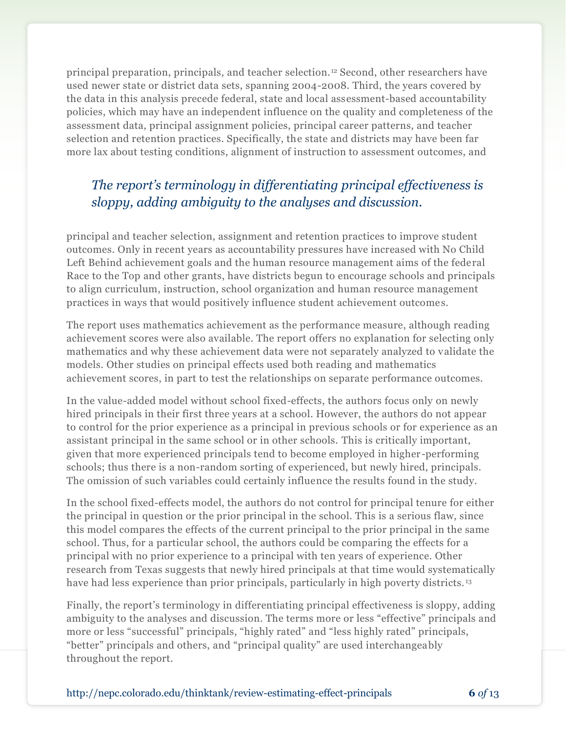principal preparation, principals, and teacher selection. <sup>12</sup> Second, other researchers have used newer state or district data sets, spanning 2004-2008. Third, the years covered by the data in this analysis precede federal, state and local assessment-based accountability policies, which may have an independent influence on the quality and completeness of the assessment data, principal assignment policies, principal career patterns, and teacher selection and retention practices. Specifically, the state and districts may have been far more lax about testing conditions, alignment of instruction to assessment outcomes, and

## *The report's terminology in differentiating principal effectiveness is sloppy, adding ambiguity to the analyses and discussion.*

principal and teacher selection, assignment and retention practices to improve student outcomes. Only in recent years as accountability pressures have increased with No Child Left Behind achievement goals and the human resource management aims of the federal Race to the Top and other grants, have districts begun to encourage schools and principals to align curriculum, instruction, school organization and human resource management practices in ways that would positively influence student achievement outcomes.

The report uses mathematics achievement as the performance measure, although reading achievement scores were also available. The report offers no explanation for selecting only mathematics and why these achievement data were not separately analyzed to validate the models. Other studies on principal effects used both reading and mathematics achievement scores, in part to test the relationships on separate performance outcomes.

In the value-added model without school fixed-effects, the authors focus only on newly hired principals in their first three years at a school. However, the authors do not appear to control for the prior experience as a principal in previous schools or for experience as an assistant principal in the same school or in other schools. This is critically important, given that more experienced principals tend to become employed in higher -performing schools; thus there is a non-random sorting of experienced, but newly hired, principals. The omission of such variables could certainly influence the results found in the study.

In the school fixed-effects model, the authors do not control for principal tenure for either the principal in question or the prior principal in the school. This is a serious flaw, since this model compares the effects of the current principal to the prior principal in the same school. Thus, for a particular school, the authors could be comparing the effects for a principal with no prior experience to a principal with ten years of experience. Other research from Texas suggests that newly hired principals at that time would systematically have had less experience than prior principals, particularly in high poverty districts.<sup>13</sup>

Finally, the report's terminology in differentiating principal effectiveness is sloppy, adding ambiguity to the analyses and discussion. The terms more or less "effective" principals and more or less "successful" principals, "highly rated" and "less highly rated" principals, "better" principals and others, and "principal quality" are used interchangeably throughout the report.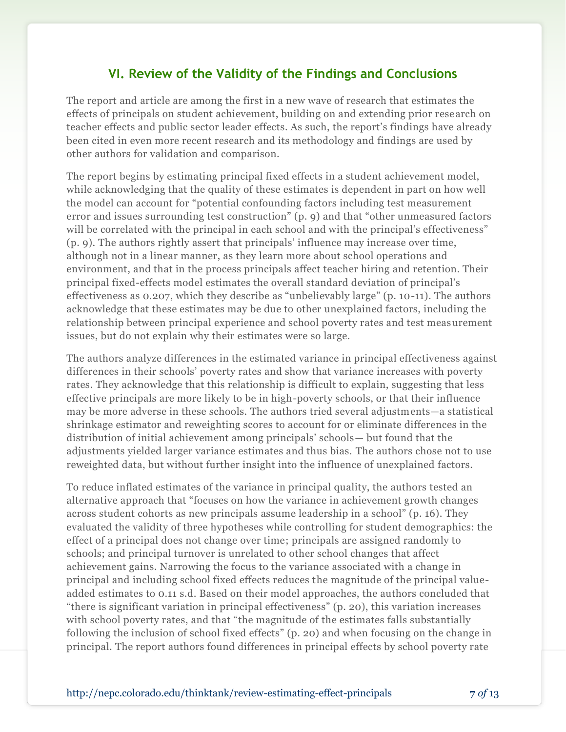## **VI. Review of the Validity of the Findings and Conclusions**

The report and article are among the first in a new wave of research that estimates the effects of principals on student achievement, building on and extending prior research on teacher effects and public sector leader effects. As such, the report's findings have already been cited in even more recent research and its methodology and findings are used by other authors for validation and comparison.

The report begins by estimating principal fixed effects in a student achievement model, while acknowledging that the quality of these estimates is dependent in part on how well the model can account for "potential confounding factors including test measurement error and issues surrounding test construction" (p. 9) and that "other unmeasured factors will be correlated with the principal in each school and with the principal's effectiveness" (p. 9). The authors rightly assert that principals' influence may increase over time, although not in a linear manner, as they learn more about school operations and environment, and that in the process principals affect teacher hiring and retention. Their principal fixed-effects model estimates the overall standard deviation of principal's effectiveness as 0.207, which they describe as "unbelievably large" (p. 10-11). The authors acknowledge that these estimates may be due to other unexplained factors, including the relationship between principal experience and school poverty rates and test measurement issues, but do not explain why their estimates were so large.

The authors analyze differences in the estimated variance in principal effectiveness against differences in their schools' poverty rates and show that variance increases with poverty rates. They acknowledge that this relationship is difficult to explain, suggesting that less effective principals are more likely to be in high-poverty schools, or that their influence may be more adverse in these schools. The authors tried several adjustments—a statistical shrinkage estimator and reweighting scores to account for or eliminate differences in the distribution of initial achievement among principals' schools— but found that the adjustments yielded larger variance estimates and thus bias. The authors chose not to use reweighted data, but without further insight into the influence of unexplained factors.

To reduce inflated estimates of the variance in principal quality, the authors tested an alternative approach that "focuses on how the variance in achievement growth changes across student cohorts as new principals assume leadership in a school" (p. 16). They evaluated the validity of three hypotheses while controlling for student demographics: the effect of a principal does not change over time; principals are assigned randomly to schools; and principal turnover is unrelated to other school changes that affect achievement gains. Narrowing the focus to the variance associated with a change in principal and including school fixed effects reduces the magnitude of the principal valueadded estimates to 0.11 s.d. Based on their model approaches, the authors concluded that "there is significant variation in principal effectiveness" (p. 20), this variation increases with school poverty rates, and that "the magnitude of the estimates falls substantially following the inclusion of school fixed effects" (p. 20) and when focusing on the change in principal. The report authors found differences in principal effects by school poverty rate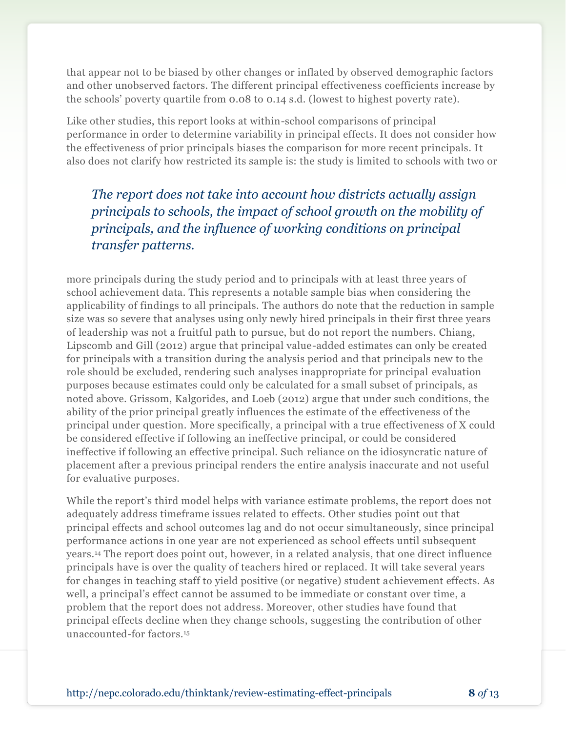that appear not to be biased by other changes or inflated by observed demographic factors and other unobserved factors. The different principal effectiveness coefficients increase by the schools' poverty quartile from 0.08 to 0.14 s.d. (lowest to highest poverty rate).

Like other studies, this report looks at within-school comparisons of principal performance in order to determine variability in principal effects. It does not consider how the effectiveness of prior principals biases the comparison for more recent principals. It also does not clarify how restricted its sample is: the study is limited to schools with two or

*The report does not take into account how districts actually assign principals to schools, the impact of school growth on the mobility of principals, and the influence of working conditions on principal transfer patterns.*

more principals during the study period and to principals with at least three years of school achievement data. This represents a notable sample bias when considering the applicability of findings to all principals. The authors do note that the reduction in sample size was so severe that analyses using only newly hired principals in their first three years of leadership was not a fruitful path to pursue, but do not report the numbers. Chiang, Lipscomb and Gill (2012) argue that principal value-added estimates can only be created for principals with a transition during the analysis period and that principals new to the role should be excluded, rendering such analyses inappropriate for principal evaluation purposes because estimates could only be calculated for a small subset of principals, as noted above. Grissom, Kalgorides, and Loeb (2012) argue that under such conditions, the ability of the prior principal greatly influences the estimate of the effectiveness of the principal under question. More specifically, a principal with a true effectiveness of X could be considered effective if following an ineffective principal, or could be considered ineffective if following an effective principal. Such reliance on the idiosyncratic nature of placement after a previous principal renders the entire analysis inaccurate and not useful for evaluative purposes.

While the report's third model helps with variance estimate problems, the report does not adequately address timeframe issues related to effects. Other studies point out that principal effects and school outcomes lag and do not occur simultaneously, since principal performance actions in one year are not experienced as school effects until subsequent years.<sup>14</sup> The report does point out, however, in a related analysis, that one direct influence principals have is over the quality of teachers hired or replaced. It will take several years for changes in teaching staff to yield positive (or negative) student achievement effects. As well, a principal's effect cannot be assumed to be immediate or constant over time, a problem that the report does not address. Moreover, other studies have found that principal effects decline when they change schools, suggesting the contribution of other unaccounted-for factors.15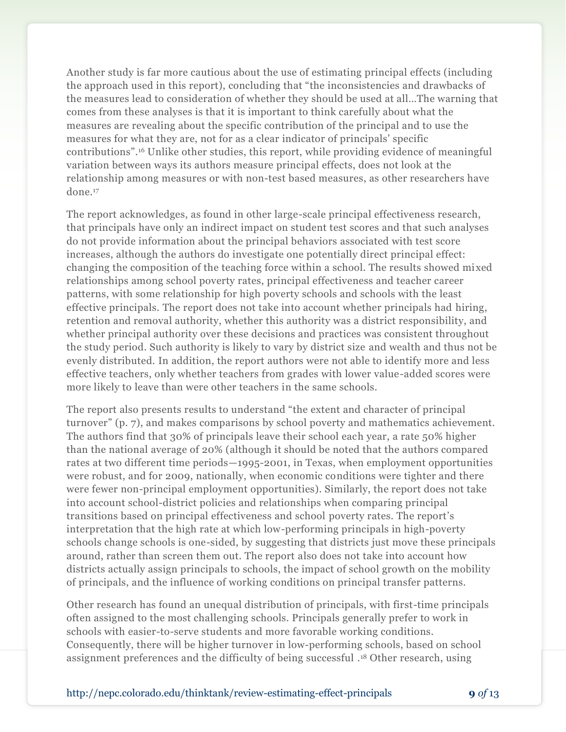Another study is far more cautious about the use of estimating principal effects (including the approach used in this report), concluding that "the inconsistencies and drawbacks of the measures lead to consideration of whether they should be used at all…The warning that comes from these analyses is that it is important to think carefully about what the measures are revealing about the specific contribution of the principal and to use the measures for what they are, not for as a clear indicator of principals' specific contributions".<sup>16</sup> Unlike other studies, this report, while providing evidence of meaningful variation between ways its authors measure principal effects, does not look at the relationship among measures or with non-test based measures, as other researchers have done.<sup>17</sup>

The report acknowledges, as found in other large-scale principal effectiveness research, that principals have only an indirect impact on student test scores and that such analyses do not provide information about the principal behaviors associated with test score increases, although the authors do investigate one potentially direct principal effect: changing the composition of the teaching force within a school. The results showed mixed relationships among school poverty rates, principal effectiveness and teacher career patterns, with some relationship for high poverty schools and schools with the least effective principals. The report does not take into account whether principals had hiring, retention and removal authority, whether this authority was a district responsibility, and whether principal authority over these decisions and practices was consistent throughout the study period. Such authority is likely to vary by district size and wealth and thus not be evenly distributed. In addition, the report authors were not able to identify more and less effective teachers, only whether teachers from grades with lower value-added scores were more likely to leave than were other teachers in the same schools.

The report also presents results to understand "the extent and character of principal turnover" (p. 7), and makes comparisons by school poverty and mathematics achievement. The authors find that 30% of principals leave their school each year, a rate 50% higher than the national average of 20% (although it should be noted that the authors compared rates at two different time periods—1995-2001, in Texas, when employment opportunities were robust, and for 2009, nationally, when economic conditions were tighter and there were fewer non-principal employment opportunities). Similarly, the report does not take into account school-district policies and relationships when comparing principal transitions based on principal effectiveness and school poverty rates. The report's interpretation that the high rate at which low-performing principals in high-poverty schools change schools is one-sided, by suggesting that districts just move these principals around, rather than screen them out. The report also does not take into account how districts actually assign principals to schools, the impact of school growth on the mobility of principals, and the influence of working conditions on principal transfer patterns.

Other research has found an unequal distribution of principals, with first-time principals often assigned to the most challenging schools. Principals generally prefer to work in schools with easier-to-serve students and more favorable working conditions. Consequently, there will be higher turnover in low-performing schools, based on school assignment preferences and the difficulty of being successful . <sup>18</sup> Other research, using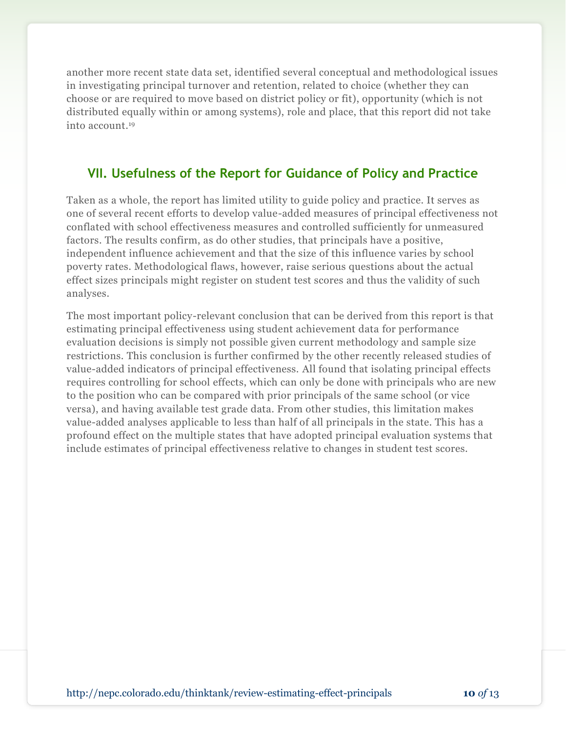another more recent state data set, identified several conceptual and methodological issues in investigating principal turnover and retention, related to choice (whether they can choose or are required to move based on district policy or fit), opportunity (which is not distributed equally within or among systems), role and place, that this report did not take into account. 19

## **VII. Usefulness of the Report for Guidance of Policy and Practice**

Taken as a whole, the report has limited utility to guide policy and practice. It serves as one of several recent efforts to develop value-added measures of principal effectiveness not conflated with school effectiveness measures and controlled sufficiently for unmeasured factors. The results confirm, as do other studies, that principals have a positive, independent influence achievement and that the size of this influence varies by school poverty rates. Methodological flaws, however, raise serious questions about the actual effect sizes principals might register on student test scores and thus the validity of such analyses.

The most important policy-relevant conclusion that can be derived from this report is that estimating principal effectiveness using student achievement data for performance evaluation decisions is simply not possible given current methodology and sample size restrictions. This conclusion is further confirmed by the other recently released studies of value-added indicators of principal effectiveness. All found that isolating principal effects requires controlling for school effects, which can only be done with principals who are new to the position who can be compared with prior principals of the same school (or vice versa), and having available test grade data. From other studies, this limitation makes value-added analyses applicable to less than half of all principals in the state. This has a profound effect on the multiple states that have adopted principal evaluation systems that include estimates of principal effectiveness relative to changes in student test scores.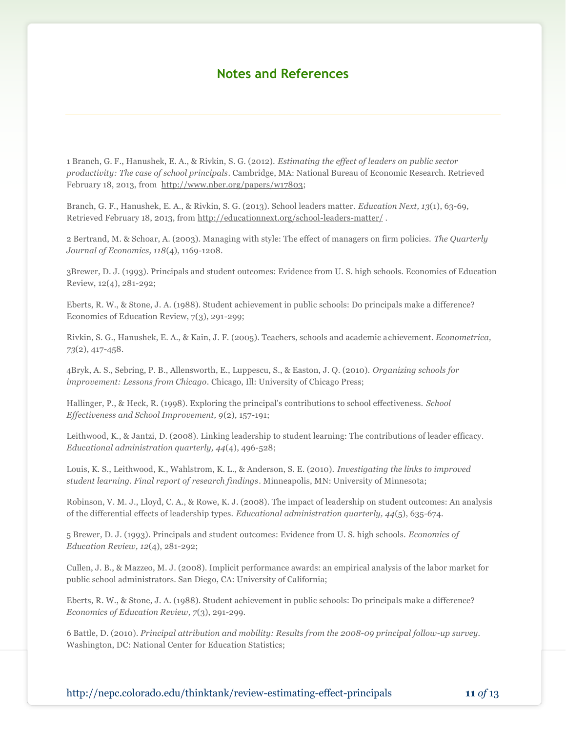#### **Notes and References**

1 Branch, G. F., Hanushek, E. A., & Rivkin, S. G. (2012). *Estimating the effect of leaders on public sector productivity: The case of school principals*. Cambridge, MA: National Bureau of Economic Research. Retrieved February 18, 2013, from [http://www.nber.org/papers/w17803;](http://www.nber.org/papers/w17803)

Branch, G. F., Hanushek, E. A., & Rivkin, S. G. (2013). School leaders matter. *Education Next, 13*(1), 63-69, Retrieved February 18, 2013, from<http://educationnext.org/school-leaders-matter/> .

2 Bertrand, M. & Schoar, A. (2003). Managing with style: The effect of managers on firm policies. *The Quarterly Journal of Economics, 118*(4), 1169-1208.

3Brewer, D. J. (1993). Principals and student outcomes: Evidence from U. S. high schools. Economics of Education Review, 12(4), 281-292;

Eberts, R. W., & Stone, J. A. (1988). Student achievement in public schools: Do principals make a difference? Economics of Education Review, 7(3), 291-299;

Rivkin, S. G., Hanushek, E. A., & Kain, J. F. (2005). Teachers, schools and academic achievement. *Econometrica, 73*(2), 417-458.

4Bryk, A. S., Sebring, P. B., Allensworth, E., Luppescu, S., & Easton, J. Q. (2010). *Organizing schools for improvement: Lessons from Chicago*. Chicago, Ill: University of Chicago Press;

Hallinger, P., & Heck, R. (1998). Exploring the principal's contributions to school effectiveness. *School Effectiveness and School Improvement, 9*(2), 157-191;

Leithwood, K., & Jantzi, D. (2008). Linking leadership to student learning: The contributions of leader efficacy. *Educational administration quarterly, 44*(4), 496-528;

Louis, K. S., Leithwood, K., Wahlstrom, K. L., & Anderson, S. E. (2010). *Investigating the links to improved student learning. Final report of research findings*. Minneapolis, MN: University of Minnesota;

Robinson, V. M. J., Lloyd, C. A., & Rowe, K. J. (2008). The impact of leadership on student outcomes: An analysis of the differential effects of leadership types. *Educational administration quarterly, 44*(5), 635-674.

5 Brewer, D. J. (1993). Principals and student outcomes: Evidence from U. S. high schools. *Economics of Education Review, 12*(4), 281-292;

Cullen, J. B., & Mazzeo, M. J. (2008). Implicit performance awards: an empirical analysis of the labor market for public school administrators. San Diego, CA: University of California;

Eberts, R. W., & Stone, J. A. (1988). Student achievement in public schools: Do principals make a difference? *Economics of Education Review, 7*(3), 291-299.

6 Battle, D. (2010). *Principal attribution and mobility: Results from the 2008-09 principal follow-up survey.* Washington, DC: National Center for Education Statistics;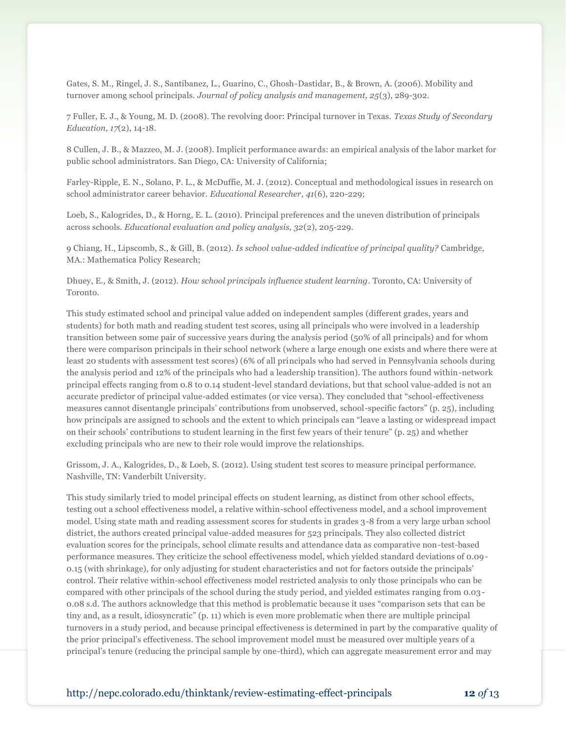Gates, S. M., Ringel, J. S., Santibanez, L., Guarino, C., Ghosh-Dastidar, B., & Brown, A. (2006). Mobility and turnover among school principals. *Journal of policy analysis and management, 25*(3), 289-302.

7 Fuller, E. J., & Young, M. D. (2008). The revolving door: Principal turnover in Texas. *Texas Study of Secondary Education, 17*(2), 14-18.

8 Cullen, J. B., & Mazzeo, M. J. (2008). Implicit performance awards: an empirical analysis of the labor market for public school administrators. San Diego, CA: University of California;

Farley-Ripple, E. N., Solano, P. L., & McDuffie, M. J. (2012). Conceptual and methodological issues in research on school administrator career behavior. *Educational Researcher, 41*(6), 220-229;

Loeb, S., Kalogrides, D., & Horng, E. L. (2010). Principal preferences and the uneven distribution of principals across schools. *Educational evaluation and policy analysis, 32*(2), 205-229.

9 Chiang, H., Lipscomb, S., & Gill, B. (2012). *Is school value-added indicative of principal quality?* Cambridge, MA.: Mathematica Policy Research;

Dhuey, E., & Smith, J. (2012). *How school principals influence student learning*. Toronto, CA: University of Toronto.

This study estimated school and principal value added on independent samples (different grades, years and students) for both math and reading student test scores, using all principals who were involved in a leadership transition between some pair of successive years during the analysis period (50% of all principals) and for whom there were comparison principals in their school network (where a large enough one exists and where there were at least 20 students with assessment test scores) (6% of all principals who had served in Pennsylvania schools during the analysis period and 12% of the principals who had a leadership transition). The authors found within-network principal effects ranging from 0.8 to 0.14 student-level standard deviations, but that school value-added is not an accurate predictor of principal value-added estimates (or vice versa). They concluded that "school-effectiveness measures cannot disentangle principals' contributions from unobserved, school-specific factors" (p. 25), including how principals are assigned to schools and the extent to which principals can "leave a lasting or widespread impact on their schools' contributions to student learning in the first few years of their tenure" (p. 25) and whether excluding principals who are new to their role would improve the relationships.

Grissom, J. A., Kalogrides, D., & Loeb, S. (2012). Using student test scores to measure principal performance. Nashville, TN: Vanderbilt University.

This study similarly tried to model principal effects on student learning, as distinct from other school effects, testing out a school effectiveness model, a relative within-school effectiveness model, and a school improvement model. Using state math and reading assessment scores for students in grades 3-8 from a very large urban school district, the authors created principal value-added measures for 523 principals. They also collected district evaluation scores for the principals, school climate results and attendance data as comparative non-test-based performance measures. They criticize the school effectiveness model, which yielded standard deviations of 0.09- 0.15 (with shrinkage), for only adjusting for student characteristics and not for factors outside the principals' control. Their relative within-school effectiveness model restricted analysis to only those principals who can be compared with other principals of the school during the study period, and yielded estimates ranging from 0.03- 0.08 s.d. The authors acknowledge that this method is problematic because it uses "comparison sets that can be tiny and, as a result, idiosyncratic" (p. 11) which is even more problematic when there are multiple principal turnovers in a study period, and because principal effectiveness is determined in part by the comparative quality of the prior principal's effectiveness. The school improvement model must be measured over multiple years of a principal's tenure (reducing the principal sample by one-third), which can aggregate measurement error and may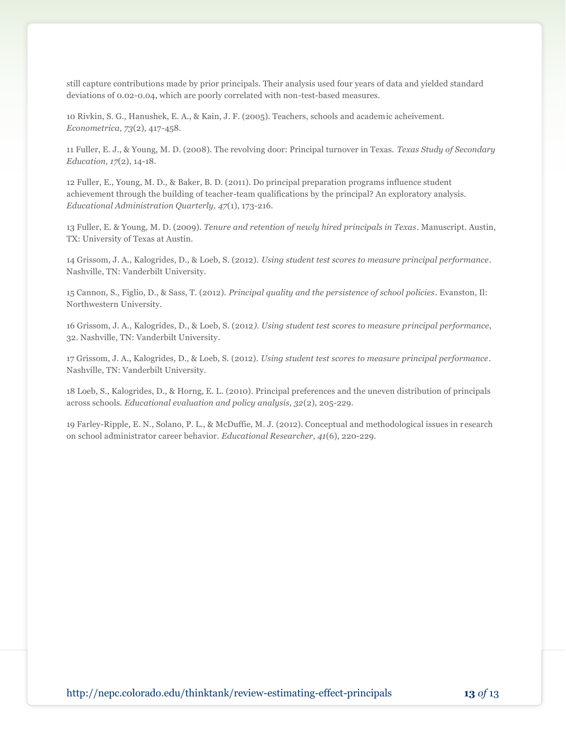still capture contributions made by prior principals. Their analysis used four years of data and yielded standard deviations of 0.02-0.04, which are poorly correlated with non-test-based measures.

10 Rivkin, S. G., Hanushek, E. A., & Kain, J. F. (2005). Teachers, schools and academic acheivement. *Econometrica, 73*(2), 417-458.

11 Fuller, E. J., & Young, M. D. (2008). The revolving door: Principal turnover in Texas. *Texas Study of Secondary Education, 17*(2), 14-18.

12 Fuller, E., Young, M. D., & Baker, B. D. (2011). Do principal preparation programs influence student achievement through the building of teacher-team qualifications by the principal? An exploratory analysis. *Educational Administration Quarterly, 47*(1), 173-216.

13 Fuller, E. & Young, M. D. (2009). *Tenure and retention of newly hired principals in Texas*. Manuscript. Austin, TX: University of Texas at Austin.

14 Grissom, J. A., Kalogrides, D., & Loeb, S. (2012). *Using student test scores to measure principal performance*. Nashville, TN: Vanderbilt University.

15 Cannon, S., Figlio, D., & Sass, T. (2012). *Principal quality and the persistence of school policies*. Evanston, Il: Northwestern University.

16 Grissom, J. A., Kalogrides, D., & Loeb, S. (2012*). Using student test scores to measure principal performance*, 32. Nashville, TN: Vanderbilt University.

17 Grissom, J. A., Kalogrides, D., & Loeb, S. (2012). *Using student test scores to measure principal performance*. Nashville, TN: Vanderbilt University.

18 Loeb, S., Kalogrides, D., & Horng, E. L. (2010). Principal preferences and the uneven distribution of principals across schools. *Educational evaluation and policy analysis, 32*(2), 205-229.

19 Farley-Ripple, E. N., Solano, P. L., & McDuffie, M. J. (2012). Conceptual and methodological issues in research on school administrator career behavior. *Educational Researcher, 41*(6), 220-229.